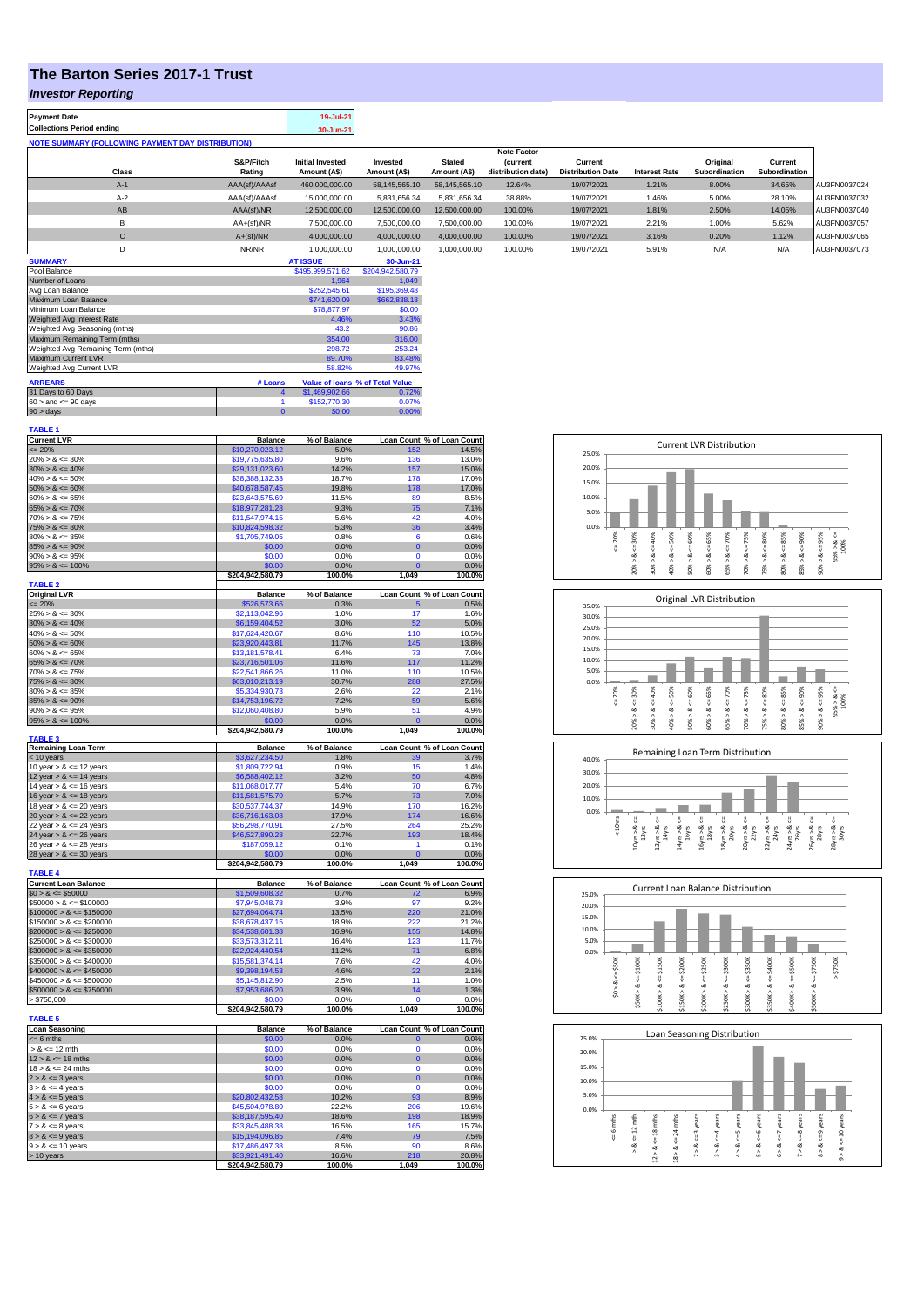## **The Barton Series 2017-1 Trust**

## *Investor Reporting*

| <b>Payment Date</b>                                      | 19-Jul-21 |
|----------------------------------------------------------|-----------|
| <b>Collections Period ending</b>                         | 30-Jun-21 |
| <b>NOTE SUMMARY (FOLLOWING PAYMENT DAY DISTRIBUTION)</b> |           |

|             |               |                         |               |               | <b>Note Factor</b> |                          |                      |               |               |              |
|-------------|---------------|-------------------------|---------------|---------------|--------------------|--------------------------|----------------------|---------------|---------------|--------------|
|             | S&P/Fitch     | <b>Initial Invested</b> | Invested      | <b>Stated</b> | <i>(current</i>    | Current                  |                      | Original      | Current       |              |
| Class       | Rating        | Amount (A\$)            | Amount (A\$)  | Amount (A\$)  | distribution date) | <b>Distribution Date</b> | <b>Interest Rate</b> | Subordination | Subordination |              |
| $A-1$       | AAA(sf)/AAAsf | 460,000,000.00          | 58,145,565.10 | 58,145,565.10 | 12.64%             | 19/07/2021               | 1.21%                | 8.00%         | 34.65%        | AU3FN0037024 |
| $A-2$       | AAA(sf)/AAAsf | 15,000,000.00           | 5,831,656.34  | 5,831,656.34  | 38.88%             | 19/07/2021               | 1.46%                | 5.00%         | 28.10%        | AU3FN0037032 |
| AB          | AAA(sf)/NR    | 12,500,000.00           | 12,500,000.00 | 12,500,000.00 | 100.00%            | 19/07/2021               | 1.81%                | 2.50%         | 14.05%        | AU3FN0037040 |
|             | $AA+(sf)/NR$  | 7,500,000.00            | 7.500.000.00  | 7.500.000.00  | 100.00%            | 19/07/2021               | 2.21%                | 1.00%         | 5.62%         | AU3FN0037057 |
| C           | $A+(sf)/NR$   | 4,000,000.00            | 4,000,000.00  | 4,000,000.00  | 100.00%            | 19/07/2021               | 3.16%                | 0.20%         | 1.12%         | AU3FN0037065 |
|             | NR/NR         | 1,000,000.00            | 1,000,000.00  | 1,000,000.00  | 100.00%            | 19/07/2021               | 5.91%                | N/A           | N/A           | AU3FN0037073 |
| ----------- |               | ---------               | .             |               |                    |                          |                      |               |               |              |

| <b>SUMMARY</b>                     |         | <b>AT ISSUE</b>  | 30-Jun-21                       |
|------------------------------------|---------|------------------|---------------------------------|
| Pool Balance                       |         | \$495,999,571.62 | \$204,942,580.79                |
| Number of Loans                    |         | 1.964            | 1.049                           |
| Avg Loan Balance                   |         | \$252,545.61     | \$195,369.48                    |
| Maximum Loan Balance               |         | \$741,620.09     | \$662,838.18                    |
| Minimum Loan Balance               |         | \$78,877.97      | \$0.00                          |
| Weighted Avg Interest Rate         |         | 4.46%            | 3.43%                           |
| Weighted Avg Seasoning (mths)      |         | 43.2             | 90.86                           |
| Maximum Remaining Term (mths)      |         | 354.00           | 316.00                          |
| Weighted Avg Remaining Term (mths) |         | 298.72           | 253.24                          |
| Maximum Current LVR                |         | 89.70%           | 83.48%                          |
| Weighted Avg Current LVR           |         | 58.82%           | 49.97%                          |
| <b>ARREARS</b>                     | # Loans |                  | Value of Ioans % of Total Value |
| 31 Days to 60 Days                 |         | \$1,469,902.66   | 0.72%                           |
| $60 >$ and $\leq 90$ days          |         | \$152,770.30     | 0.07%                           |
| $90 > \text{days}$                 |         | \$0.00           | 0.00%                           |

| <b>TABLE 1</b>                                           |                                     |                      |                         |                                     |
|----------------------------------------------------------|-------------------------------------|----------------------|-------------------------|-------------------------------------|
| <b>Current LVR</b><br>$= 20%$                            | <b>Balance</b><br>\$10,270,023.12   | % of Balance<br>5.0% |                         | Loan Count % of Loan Count<br>14.5% |
| $20\% > 8 \le 30\%$                                      | \$19,775,635.80                     | 9.6%                 | 136                     | 13.0%                               |
| $30\% > 8 \le 40\%$                                      | \$29,131,023.60                     | 14.2%                | 157                     | 15.0%                               |
| $40\% > 8 \le 50\%$                                      | \$38,388,132.33                     | 18.7%                | 178                     | 17.0%                               |
| $50\% > 8 \le 60\%$                                      | \$40,678,587.45                     | 19.8%                | 178                     | 17.0%                               |
| $60\% > 8 \le 65\%$                                      | \$23,643,575.69                     | 11.5%                | 89                      | 8.5%                                |
| $65\% > 8 \le 70\%$                                      | \$18,977,281.28                     | 9.3%                 | 75                      | 7.1%                                |
| $70\% > 8 \le 75\%$<br>$75\% > 8 \le 80\%$               | \$11,547,974.15<br>\$10,824,598.32  | 5.6%<br>5.3%         | 42<br>36                | 4.0%<br>3.4%                        |
| $80\% > 8 \le 85\%$                                      | \$1,705,749.05                      | 0.8%                 | 6                       | 0.6%                                |
| $85\% > 8 \le 90\%$                                      | \$0.00                              | 0.0%                 | $\overline{0}$          | 0.0%                                |
| $90\% > 8 \le 95\%$                                      | \$0.00                              | 0.0%                 | $\Omega$                | 0.0%                                |
| $95\% > 8 \le 100\%$                                     | \$0.00                              | 0.0%                 | $\mathbf 0$             | 0.0%                                |
|                                                          | \$204,942,580.79                    | 100.0%               | 1,049                   | 100.0%                              |
| <b>TABLE 2</b>                                           | Balance                             |                      |                         |                                     |
| <b>Original LVR</b><br>$= 20%$                           | \$526,573.66                        | % of Balance<br>0.3% | Б                       | Loan Count % of Loan Count<br>0.5%  |
| $25\% > 8 \le 30\%$                                      | \$2,113,042.96                      | 1.0%                 | 17                      | 1.6%                                |
| $30\% > 8 \le 40\%$                                      | \$6,159,404.52                      | 3.0%                 | 52                      | 5.0%                                |
| $40\% > 8 \le 50\%$                                      | \$17,624,420.67                     | 8.6%                 | 110                     | 10.5%                               |
| $50\% > 8 \le 60\%$                                      | \$23,920,443.81                     | 11.7%                | 145                     | 13.8%                               |
| $60\% > 8 \le 65\%$                                      | \$13,181,578.41                     | 6.4%                 | 73                      | 7.0%                                |
| $65\% > 8 \le 70\%$<br>$70\% > 8 \le 75\%$               | \$23,716,501.06<br>\$22,541,866.26  | 11.6%<br>11.0%       | 117<br>110              | 11.2%<br>10.5%                      |
| $75\% > 8 \le 80\%$                                      | \$63,010,213.19                     | 30.7%                | 288                     | 27.5%                               |
| $80\% > 8 \le 85\%$                                      | \$5,334,930.73                      | 2.6%                 | 22                      | 2.1%                                |
| $85\% > 8 \le 90\%$                                      | \$14,753,196.72                     | 7.2%                 | 59                      | 5.6%                                |
| $90\% > 8 \le 95\%$                                      | \$12,060,408.80                     | 5.9%                 | 51                      | 4.9%                                |
| $95\% > 8 \le 100\%$                                     | \$0.00                              | 0.0%                 | $\Omega$                | 0.0%                                |
| <b>TABLE 3</b>                                           | \$204,942,580.79                    | 100.0%               | 1,049                   | 100.0%                              |
| Remaining Loan Term                                      | <b>Balance</b>                      | % of Balance         |                         | Loan Count % of Loan Count          |
| < 10 years                                               | \$3,627,234.50                      | 1.8%                 | зс                      | 3.7%                                |
| 10 year $> 8 \le 12$ years                               | \$1,809,722.94                      | 0.9%                 | 15                      | 1.4%                                |
| 12 year $> 8 \le 14$ years                               | \$6,588,402.12                      | 3.2%                 | 50                      | 4.8%                                |
| 14 year $> 8 \le 16$ years<br>16 year $> 8 \le 18$ years | \$11,068,017.77<br>\$11,581,575.70  | 5.4%<br>5.7%         | 70<br>73                | 6.7%<br>7.0%                        |
| 18 year $> 8 \le 20$ years                               | \$30,537,744.37                     | 14.9%                | 170                     | 16.2%                               |
| 20 year $> 8 \le 22$ years                               | \$36,716,163.08                     | 17.9%                | 174                     | 16.6%                               |
| 22 year > & <= 24 years                                  | \$56,298,770.91                     | 27.5%                | 264                     | 25.2%                               |
| 24 year $> 8 \le 26$ years                               | \$46,527,890.28                     | 22.7%                | 193                     | 18.4%                               |
| 26 year $> 8 \le 28$ years                               | \$187,059.12                        | 0.1%                 | 1                       | 0.1%                                |
| 28 year $> 8 \le 30$ years                               | \$0.00<br>\$204,942,580.79          | 0.0%<br>100.0%       | $\overline{0}$<br>1,049 | 0.0%<br>100.0%                      |
| <b>TABLE 4</b>                                           |                                     |                      |                         |                                     |
| <b>Current Loan Balance</b>                              | <b>Balance</b>                      | % of Balance         | <b>Loan Count</b>       | % of Loan Count                     |
| $$0 > 8 \le $50000$                                      | \$1,509,608.32                      | 0.7%                 | 72                      | 6.9%                                |
| $$50000 > 8 \le $100000$                                 | \$7,945,048.78                      | 3.9%                 | 97                      | 9.2%                                |
| $$100000 > 8 \le $150000$                                | \$27,694,064.74                     | 13.5%                | 220<br>220              | 21.0%                               |
| $$150000 > 8 \le $200000$<br>$$200000 > 8 \le $250000$   | \$38,678,437.15<br>\$34,538,601.38  | 18.9%<br>16.9%       | 155                     | 21.2%<br>14.8%                      |
| $$250000 > 8 \le $300000$                                | \$33,573,312.11                     | 16.4%                | 123                     | 11.7%                               |
| $$300000 > 8 \le $350000$                                | \$22,924,440.54                     | 11.2%                | 71                      | 6.8%                                |
| $$350000 > 8 \le $400000$                                | \$15,581,374.14                     | 7.6%                 | 42                      | 4.0%                                |
| $$400000 > 8 \leq $450000$                               | \$9,398,194.53                      | 4.6%                 | 22                      | 2.1%                                |
| $$450000 > 8 \le $500000$                                | \$5,145,812.90                      | 2.5%                 | 11                      | 1.0%                                |
| $$500000 > 8 \le $750000$                                | \$7,953,686.20                      | 3.9%                 | 14                      | 1.3%                                |
| > \$750,000                                              | \$0.00<br>\$204,942,580.79          | 0.0%<br>100.0%       | $\Omega$<br>1,049       | 0.0%<br>100.0%                      |
| <b>TABLE 5</b>                                           |                                     |                      |                         |                                     |
| <b>Loan Seasoning</b>                                    | <b>Balance</b>                      | % of Balance         |                         | Loan Count % of Loan Count          |
| $= 6$ mths                                               | \$0.00                              | 0.0%                 | O                       | 0.0%                                |
| $> 8$ <= 12 mth                                          | \$0.00                              | 0.0%                 | $\Omega$                | 0.0%                                |
| $12 > 8 \le 18$ mths                                     | \$0.00                              | 0.0%                 | $\mathbf 0$<br>$\Omega$ | 0.0%                                |
| $18 > 8 \le 24$ mths<br>$2 > 8 \le 3$ years              | \$0.00<br>\$0.00                    | 0.0%<br>0.0%         | $\mathbf 0$             | 0.0%<br>0.0%                        |
| $3 > 8 \le 4$ years                                      | \$0.00                              | 0.0%                 | $\mathbf 0$             | 0.0%                                |
| $4 > 8 \le 5$ years                                      | \$20,802,432.58                     | 10.2%                | 93                      | 8.9%                                |
| $5 > 8 \le 6$ years                                      | \$45,504,978.80                     | 22.2%                | 206                     | 19.6%                               |
| $6 > 8 \le 7$ years                                      | \$38,187,595.40                     | 18.6%                | 198                     | 18.9%                               |
| $7 > 8 \le 8$ years                                      | \$33,845,488.38                     | 16.5%                | 165                     | 15.7%                               |
| $8 > 8 \le 9$ years                                      | \$15,194,096.85                     | 7.4%                 | 79                      | 7.5%                                |
| $9 > 8 \le 10$ years                                     |                                     |                      |                         |                                     |
|                                                          | \$17,486,497.38                     | 8.5%                 | 90                      | 8.6%                                |
| > 10 years                                               | \$33,921,491.40<br>\$204,942,580.79 | 16.6%<br>100.0%      | 218<br>1,049            | 20.8%<br>100.0%                     |

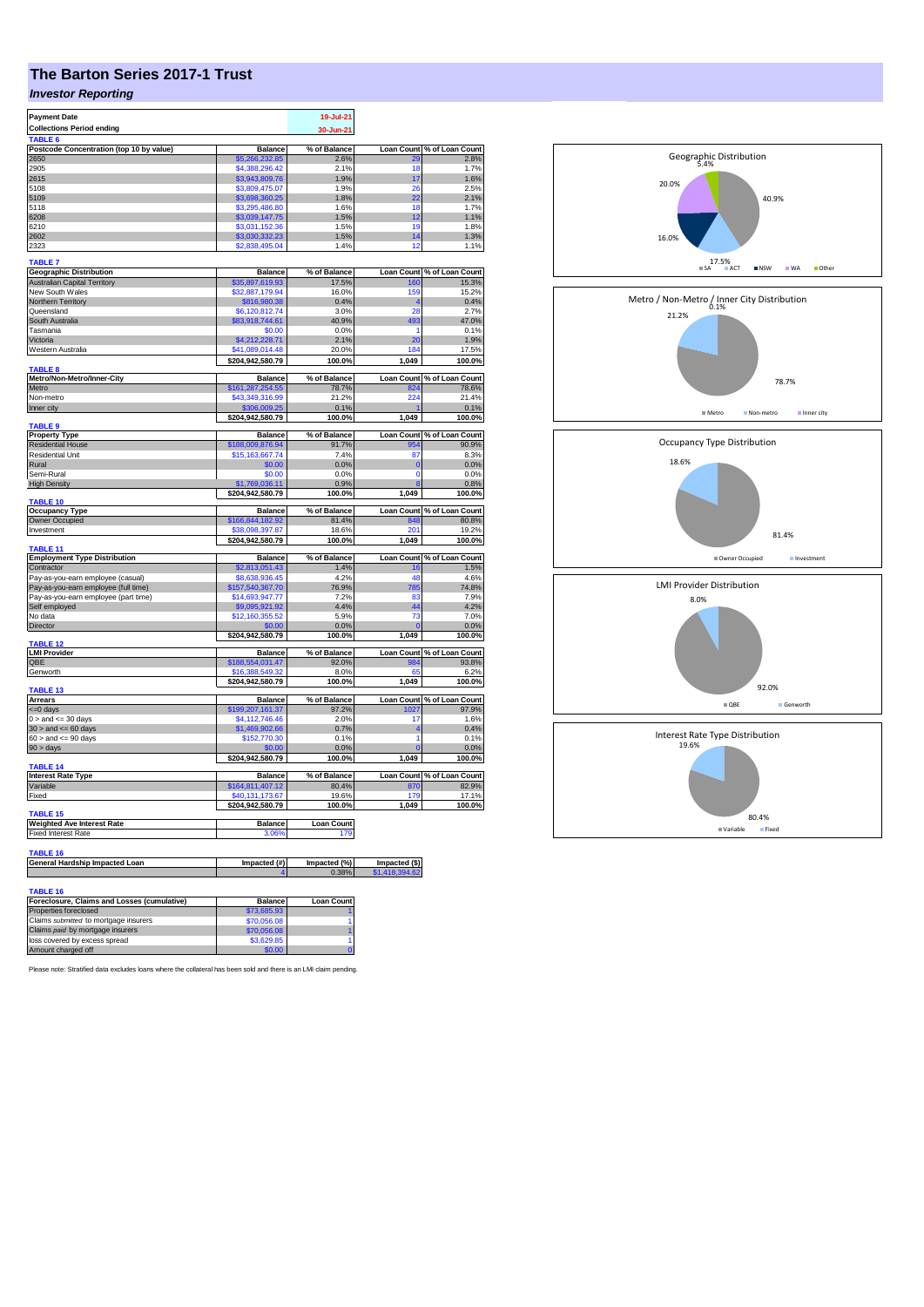## **The Barton Series 2017-1 Trust**

## *Investor Reporting*

| <b>Payment Date</b><br><b>Collections Period ending</b> |                                     | 19-Jul-21<br>30-Jun-21 |                   |                            |
|---------------------------------------------------------|-------------------------------------|------------------------|-------------------|----------------------------|
|                                                         |                                     |                        |                   |                            |
| Postcode Concentration (top 10 by value)                | <b>Balance</b>                      | % of Balance           | Loan Count        | % of Loan Count            |
| 2650                                                    | \$5,266,232,85                      | 2.6%                   |                   | 2.8%                       |
| 2905<br>2615                                            | \$4,388,296.42<br>\$3,943,809.76    | 2.1%<br>1.9%           | 18<br>17          | 1.7%<br>1.6%               |
| 5108                                                    | \$3,809,475.07                      | 1.9%                   | 26                | 2.5%                       |
| 5109                                                    | \$3,698,360.25                      | 1.8%                   | 22                | 2.1%                       |
| 5118                                                    | \$3,295,486.80                      | 1.6%                   | 18                | 1 7%                       |
| 6208                                                    | \$3,039,147.75                      | 1.5%                   | 12                | 1.1%                       |
| 6210                                                    | \$3,031,152.36                      | 1.5%                   | 19                | 1.8%                       |
| 2602                                                    | \$3,030,332.23                      | 1.5%                   | 14                | 1.3%                       |
| 2323                                                    | \$2,838,495.04                      | 1.4%                   | 12                | 1.1%                       |
| <b>TABLE 7</b>                                          |                                     |                        |                   |                            |
| <b>Geographic Distribution</b>                          | <b>Balance</b>                      | % of Balance           | <b>Loan Count</b> | % of Loan Count            |
| <b>Australian Capital Territory</b>                     | \$35,897,619.93                     | 17.5%                  | 160               | 15.3%                      |
| New South Wales                                         | \$32,887,179.94                     | 16.0%                  | 159               | 15.2%                      |
| Northern Territory                                      | \$816,980.38                        | 0.4%                   |                   | 0.4%                       |
| Queensland                                              | \$6,120,812.74                      | 3.0%                   | 28                | 2.7%                       |
| South Australia                                         | \$83,918,744.61                     | 40.9%                  | 493               | 47.0%                      |
| Tasmania                                                | \$0.00                              | 0.0%                   | 1                 | 0.1%                       |
| Victoria<br>Western Australia                           | \$4,212,228.71                      | 2.1%                   | 20                | 1.9%                       |
|                                                         | \$41,089,014.48<br>\$204,942,580.79 | 20.0%<br>100.0%        | 184<br>1,049      | 17.5%<br>100.0%            |
| TABLE <sub>8</sub>                                      |                                     |                        |                   |                            |
| Metro/Non-Metro/Inner-City                              | <b>Balance</b>                      | % of Balance           |                   | Loan Count % of Loan Count |
| Metro                                                   | \$161,287,254.55                    | 78.7%                  | 824               | 78.6%                      |
| Non-metro                                               | \$43,349,316.99                     | 21.2%<br>0.1%          | 224               | 21.4%                      |
| Inner city                                              | \$204,942,580.79                    | 100.0%                 | 1,049             | 0.1%                       |
| <b>TABLE 9</b>                                          |                                     |                        |                   | 100.0%                     |
| <b>Property Type</b>                                    | <b>Balance</b>                      | % of Balance           | <b>Loan Count</b> | % of Loan Count            |
| <b>Residential House</b>                                | \$188,009,876.94                    | 91.7%                  | 954               | 90.9%                      |
| Residential Unit                                        | \$15,163,667.74                     | 7.4%                   | 87                | 8.3%                       |
| Rural                                                   | \$0.00                              | 0.0%                   | $\Omega$          | 0.0%                       |
| Semi-Rural                                              | \$0.00                              | 0.0%                   | $\mathbf 0$       | 0.0%                       |
| <b>High Density</b>                                     | \$1,769,036.11                      | 0.9%                   |                   | 0.8%                       |
| TABLE 10                                                | \$204,942,580.79                    | 100.0%                 | 1,049             | 100.0%                     |
| <b>Occupancy Type</b>                                   | <b>Balance</b>                      | % of Balance           |                   | Loan Count % of Loan Count |
| Owner Occupied                                          | \$166,844,182.92                    | 81.4%                  | 848               | 80.8%                      |
| Investment                                              | \$38,098,397.87                     | 18.6%                  | 201               | 19.2%                      |
| <b>TABLE 11</b>                                         | \$204,942,580.79                    | 100.0%                 | 1,049             | 100.0%                     |
| <b>Employment Type Distribution</b>                     | <b>Balance</b>                      | % of Balance           |                   | Loan Count % of Loan Count |
| Contractor                                              | \$2,813,051.43                      | 1.4%                   | 16                | 1.5%                       |
| Pay-as-you-earn employee (casual)                       | \$8,638,936.45                      | 4.2%                   | 48                | 4.6%                       |
| Pay-as-you-earn employee (full time)                    | \$157,540,367.70                    | 76.9%                  | 785               | 4.8%                       |
| Pay-as-you-earn employee (part time)                    | \$14,693,947.77                     | 7 2%                   | 83                | 7.9%                       |
| Self employed                                           | \$9,095,921.92                      | 4.4%                   | 44                | 4.2%                       |
| No data                                                 | \$12,160,355.52                     | 5.9%                   | 73                | 7.0%                       |
| Director                                                | \$0.00                              | 0.0%                   | $\sqrt{ }$        | 0.0%                       |
| TABLE 12                                                | \$204,942,580.79                    | 100.0%                 | 1,049             | 100.0%                     |
| <b>LMI Provider</b>                                     | <b>Balance</b>                      | % of Balance           |                   | Loan Count % of Loan Count |
| QBE                                                     | \$188,554,031.47                    | 92.0%                  | 984               | 93.8%                      |
| Genworth                                                | \$16,388,549.32<br>\$204,942,580.79 | 8.0%<br>100.0%         | 65<br>1,049       | 6.2%<br>100.0%             |
| <b>TABLE 13</b>                                         |                                     |                        |                   |                            |
| <b>Arrears</b>                                          | <b>Balance</b>                      | % of Balance           |                   | Loan Count % of Loan Count |
| <= 0 days                                               | \$199,207,161.37                    | 97.2%                  | 1027              | 97.9%                      |
| $0 >$ and $\leq$ 30 days                                | \$4,112,746.46                      | 2.0%                   | 17                | 1.6%                       |
| $30$ > and <= 60 days                                   | \$1,469,902.66                      | 0.7%                   | 4                 | 0.4%                       |
| $60 >$ and $\leq 90$ days                               | \$152,770.30                        | 0.1%                   | 1                 | 0.1%                       |
| 90 > days                                               | \$0.00<br>\$204,942,580.79          | 0.0%<br>100.0%         | 1,049             | 0.0%<br>100.0%             |
| TABLE 14                                                |                                     |                        |                   |                            |
| <b>Interest Rate Type</b>                               | <b>Balance</b>                      | % of Balance           | <b>Loan Count</b> | % of Loan Count            |
| Variable                                                | \$164,811,407.12                    | 80.4%                  | 870               | 82.9%                      |
| Fixed                                                   | \$40,131,173.67                     | 19.6%                  | 179               | 17.1%                      |
| TABLE 15                                                | \$204,942,580.79                    | 100.0%                 | 1,049             | 100.0%                     |
| <b>Weighted Ave Interest Rate</b>                       | Balance                             | <b>Loan Count</b>      |                   |                            |
| <b>Fixed Interest Rate</b>                              | 3.06%                               | 179                    |                   |                            |
|                                                         |                                     |                        |                   |                            |
|                                                         |                                     |                        |                   |                            |
| <b>TABLE 16</b>                                         |                                     |                        |                   |                            |
| General Hardship Impacted Loan                          | Impacted (#)                        | Impacted (%)<br>0.38%  | Impacted (\$)     |                            |
| TABLE 16                                                |                                     |                        |                   |                            |

| <b>TABLE 16</b>                             |                |                   |
|---------------------------------------------|----------------|-------------------|
| Foreclosure, Claims and Losses (cumulative) | <b>Balance</b> | <b>Loan Count</b> |
| Properties foreclosed                       | \$73,685.93    |                   |
| Claims submitted to mortgage insurers       | \$70,056.08    |                   |
| Claims paid by mortgage insurers            | \$70,056,08    |                   |
| loss covered by excess spread               | \$3,629.85     |                   |
| Amount charged off                          | \$0.00         |                   |

Please note: Stratified data excludes loans where the collateral has been sold and there is an LMI claim pending.